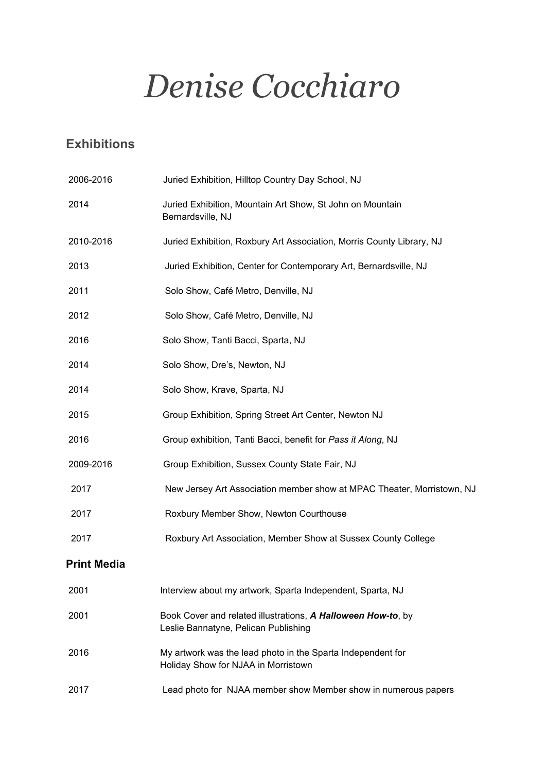## *Denise Cocchiaro*

## **Exhibitions**

| 2006-2016          | Juried Exhibition, Hilltop Country Day School, NJ                                                    |
|--------------------|------------------------------------------------------------------------------------------------------|
| 2014               | Juried Exhibition, Mountain Art Show, St John on Mountain<br>Bernardsville, NJ                       |
| 2010-2016          | Juried Exhibition, Roxbury Art Association, Morris County Library, NJ                                |
| 2013               | Juried Exhibition, Center for Contemporary Art, Bernardsville, NJ                                    |
| 2011               | Solo Show, Café Metro, Denville, NJ                                                                  |
| 2012               | Solo Show, Café Metro, Denville, NJ                                                                  |
| 2016               | Solo Show, Tanti Bacci, Sparta, NJ                                                                   |
| 2014               | Solo Show, Dre's, Newton, NJ                                                                         |
| 2014               | Solo Show, Krave, Sparta, NJ                                                                         |
| 2015               | Group Exhibition, Spring Street Art Center, Newton NJ                                                |
| 2016               | Group exhibition, Tanti Bacci, benefit for Pass it Along, NJ                                         |
| 2009-2016          | Group Exhibition, Sussex County State Fair, NJ                                                       |
| 2017               | New Jersey Art Association member show at MPAC Theater, Morristown, NJ                               |
| 2017               | Roxbury Member Show, Newton Courthouse                                                               |
| 2017               | Roxbury Art Association, Member Show at Sussex County College                                        |
| <b>Print Media</b> |                                                                                                      |
| 2001               | Interview about my artwork, Sparta Independent, Sparta, NJ                                           |
| 2001               | Book Cover and related illustrations, A Halloween How-to, by<br>Leslie Bannatyne, Pelican Publishing |
| 2016               | My artwork was the lead photo in the Sparta Independent for<br>Holiday Show for NJAA in Morristown   |
| 2017               | Lead photo for NJAA member show Member show in numerous papers                                       |